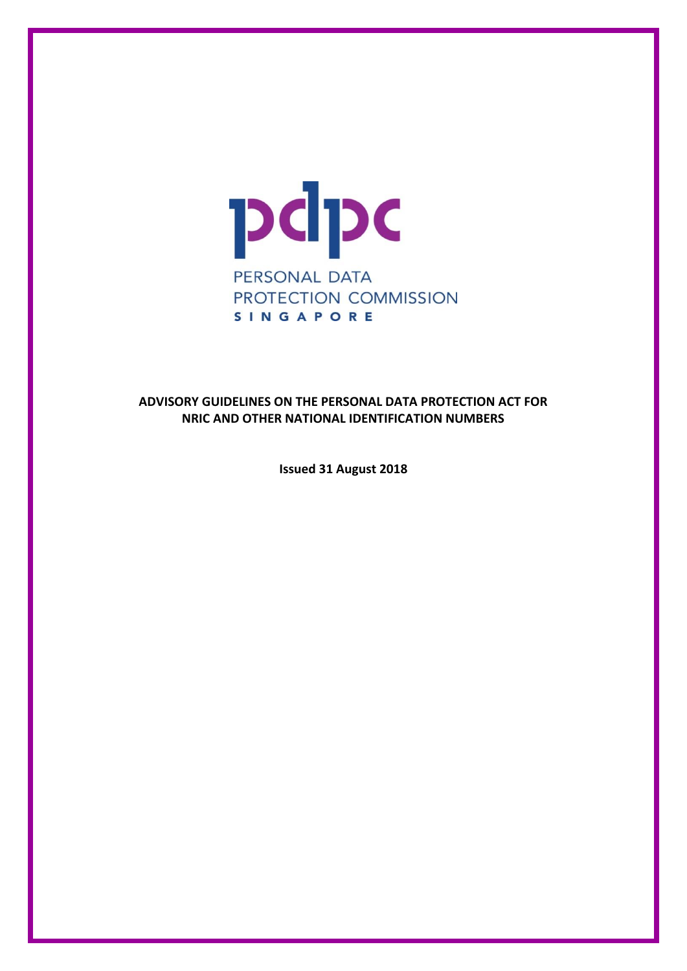

**ADVISORY GUIDELINES ON THE PERSONAL DATA PROTECTION ACT FOR NRIC AND OTHER NATIONAL IDENTIFICATION NUMBERS**

**Issued 31 August 2018**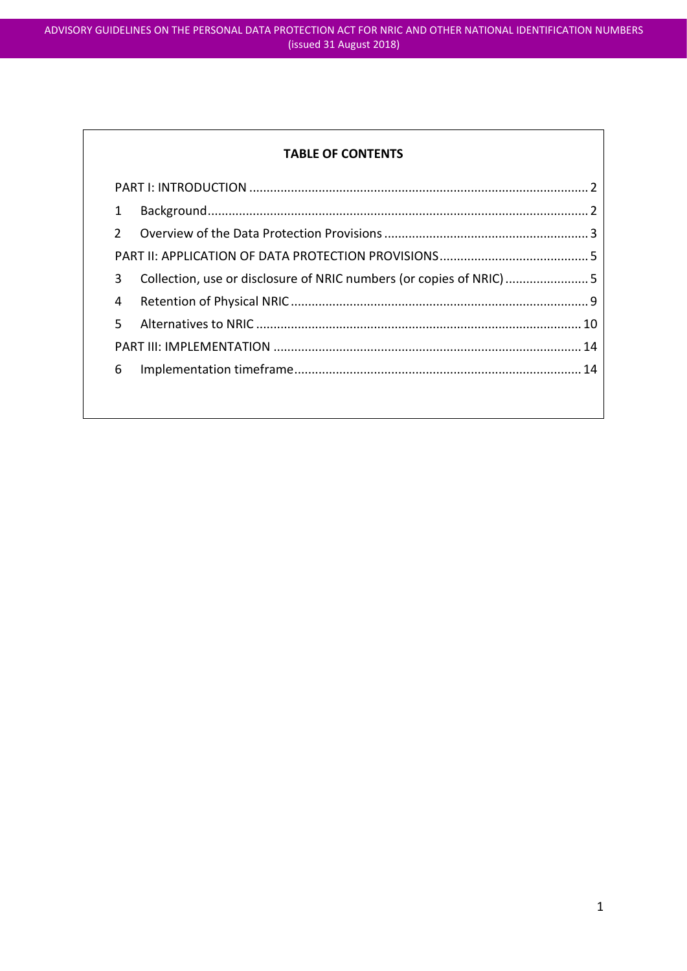#### **TABLE OF CONTENTS**

<span id="page-1-0"></span>

| 1  |                                                                    |  |
|----|--------------------------------------------------------------------|--|
| 2  |                                                                    |  |
|    |                                                                    |  |
| 3  | Collection, use or disclosure of NRIC numbers (or copies of NRIC)5 |  |
| 4  |                                                                    |  |
| 5. |                                                                    |  |
|    |                                                                    |  |
| 6  |                                                                    |  |
|    |                                                                    |  |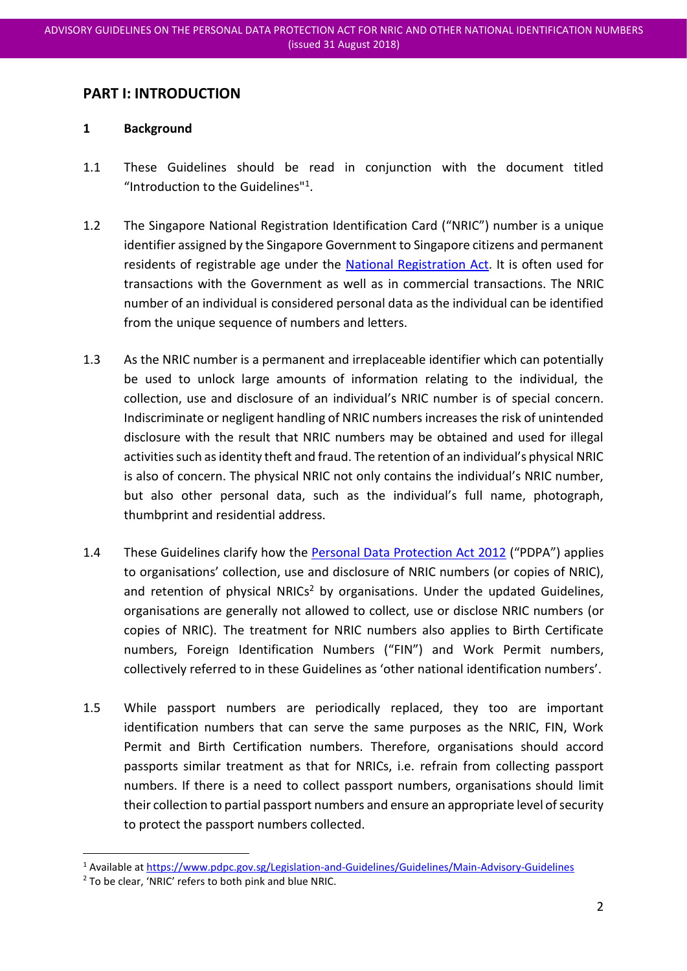# **PART I: INTRODUCTION**

#### <span id="page-2-0"></span>**1 Background**

- 1.1 These Guidelines should be read in conjunction with the document titled "Introduction to the Guidelines"<sup>1</sup>.
- 1.2 The Singapore National Registration Identification Card ("NRIC") number is a unique identifier assigned by the Singapore Government to Singapore citizens and permanent residents of registrable age under the [National Registration](https://sso.agc.gov.sg/Act/NRA1965) Act. It is often used for transactions with the Government as well as in commercial transactions. The NRIC number of an individual is considered personal data as the individual can be identified from the unique sequence of numbers and letters.
- 1.3 As the NRIC number is a permanent and irreplaceable identifier which can potentially be used to unlock large amounts of information relating to the individual, the collection, use and disclosure of an individual's NRIC number is of special concern. Indiscriminate or negligent handling of NRIC numbers increases the risk of unintended disclosure with the result that NRIC numbers may be obtained and used for illegal activities such as identity theft and fraud. The retention of an individual's physical NRIC is also of concern. The physical NRIC not only contains the individual's NRIC number, but also other personal data, such as the individual's full name, photograph, thumbprint and residential address.
- 1.4 These Guidelines clarify how the [Personal Data Protection Act 2012](https://sso.agc.gov.sg/Act/PDPA2012) ("PDPA") applies to organisations' collection, use and disclosure of NRIC numbers (or copies of NRIC), and retention of physical NRICs<sup>2</sup> by organisations. Under the updated Guidelines, organisations are generally not allowed to collect, use or disclose NRIC numbers (or copies of NRIC). The treatment for NRIC numbers also applies to Birth Certificate numbers, Foreign Identification Numbers ("FIN") and Work Permit numbers, collectively referred to in these Guidelines as 'other national identification numbers'.
- 1.5 While passport numbers are periodically replaced, they too are important identification numbers that can serve the same purposes as the NRIC, FIN, Work Permit and Birth Certification numbers. Therefore, organisations should accord passports similar treatment as that for NRICs, i.e. refrain from collecting passport numbers. If there is a need to collect passport numbers, organisations should limit their collection to partial passport numbers and ensure an appropriate level of security to protect the passport numbers collected.

<sup>1</sup> Available at<https://www.pdpc.gov.sg/Legislation-and-Guidelines/Guidelines/Main-Advisory-Guidelines>

<sup>&</sup>lt;sup>2</sup> To be clear, 'NRIC' refers to both pink and blue NRIC.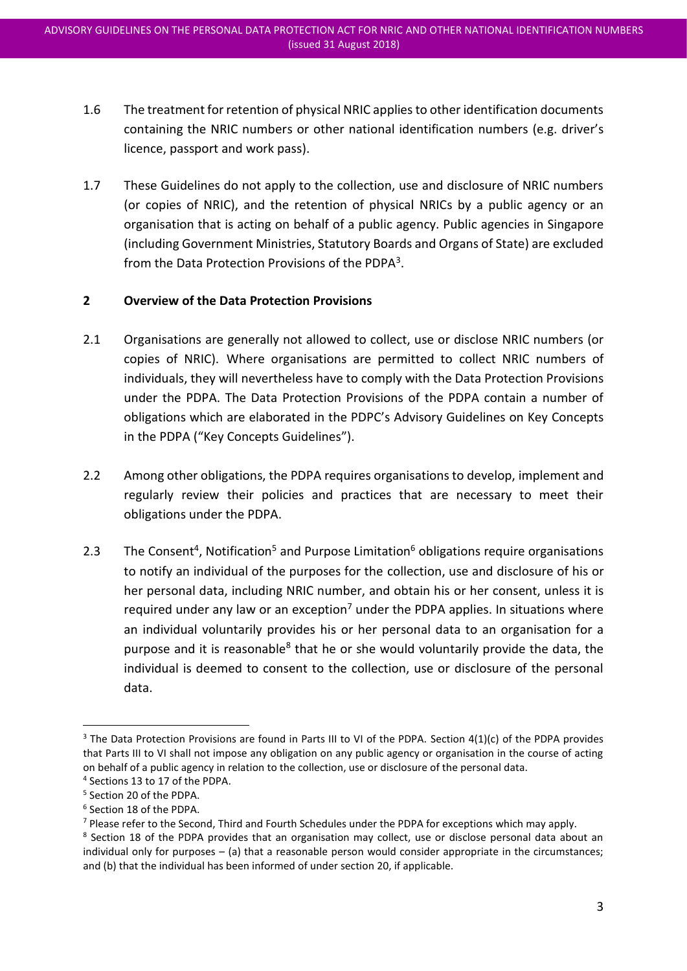- 1.6 The treatment for retention of physical NRIC applies to other identification documents containing the NRIC numbers or other national identification numbers (e.g. driver's licence, passport and work pass).
- 1.7 These Guidelines do not apply to the collection, use and disclosure of NRIC numbers (or copies of NRIC), and the retention of physical NRICs by a public agency or an organisation that is acting on behalf of a public agency. Public agencies in Singapore (including Government Ministries, Statutory Boards and Organs of State) are excluded from the Data Protection Provisions of the PDPA<sup>3</sup>.

#### <span id="page-3-0"></span>**2 Overview of the Data Protection Provisions**

- 2.1 Organisations are generally not allowed to collect, use or disclose NRIC numbers (or copies of NRIC). Where organisations are permitted to collect NRIC numbers of individuals, they will nevertheless have to comply with the Data Protection Provisions under the PDPA. The Data Protection Provisions of the PDPA contain a number of obligations which are elaborated in the PDPC's Advisory Guidelines on Key Concepts in the PDPA ("Key Concepts Guidelines").
- 2.2 Among other obligations, the PDPA requires organisations to develop, implement and regularly review their policies and practices that are necessary to meet their obligations under the PDPA.
- 2.3 The Consent<sup>4</sup>, Notification<sup>5</sup> and Purpose Limitation<sup>6</sup> obligations require organisations to notify an individual of the purposes for the collection, use and disclosure of his or her personal data, including NRIC number, and obtain his or her consent, unless it is required under any law or an exception<sup>7</sup> under the PDPA applies. In situations where an individual voluntarily provides his or her personal data to an organisation for a purpose and it is reasonable<sup>8</sup> that he or she would voluntarily provide the data, the individual is deemed to consent to the collection, use or disclosure of the personal data.

<sup>&</sup>lt;sup>3</sup> The Data Protection Provisions are found in Parts III to VI of the PDPA. Section 4(1)(c) of the PDPA provides that Parts III to VI shall not impose any obligation on any public agency or organisation in the course of acting on behalf of a public agency in relation to the collection, use or disclosure of the personal data.

<sup>4</sup> Sections 13 to 17 of the PDPA.

<sup>5</sup> Section 20 of the PDPA.

<sup>6</sup> Section 18 of the PDPA.

 $7$  Please refer to the Second, Third and Fourth Schedules under the PDPA for exceptions which may apply.

<sup>&</sup>lt;sup>8</sup> Section 18 of the PDPA provides that an organisation may collect, use or disclose personal data about an individual only for purposes – (a) that a reasonable person would consider appropriate in the circumstances; and (b) that the individual has been informed of under section 20, if applicable.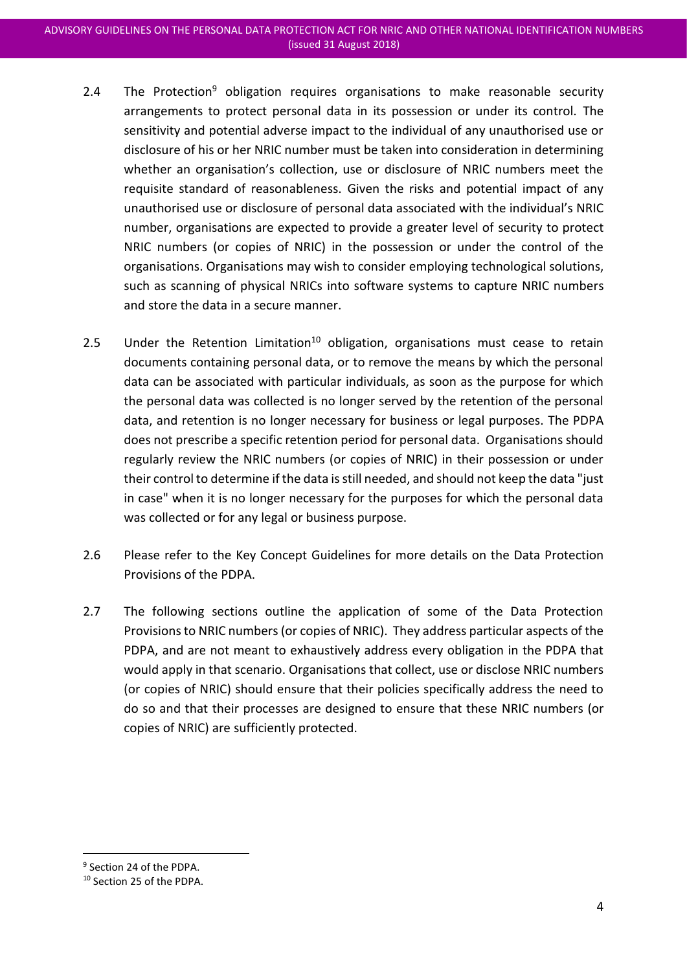- 2.4 The Protection<sup>9</sup> obligation requires organisations to make reasonable security arrangements to protect personal data in its possession or under its control. The sensitivity and potential adverse impact to the individual of any unauthorised use or disclosure of his or her NRIC number must be taken into consideration in determining whether an organisation's collection, use or disclosure of NRIC numbers meet the requisite standard of reasonableness. Given the risks and potential impact of any unauthorised use or disclosure of personal data associated with the individual's NRIC number, organisations are expected to provide a greater level of security to protect NRIC numbers (or copies of NRIC) in the possession or under the control of the organisations. Organisations may wish to consider employing technological solutions, such as scanning of physical NRICs into software systems to capture NRIC numbers and store the data in a secure manner.
- 2.5 Under the Retention Limitation<sup>10</sup> obligation, organisations must cease to retain documents containing personal data, or to remove the means by which the personal data can be associated with particular individuals, as soon as the purpose for which the personal data was collected is no longer served by the retention of the personal data, and retention is no longer necessary for business or legal purposes. The PDPA does not prescribe a specific retention period for personal data. Organisations should regularly review the NRIC numbers (or copies of NRIC) in their possession or under their control to determine if the data is still needed, and should not keep the data "just in case" when it is no longer necessary for the purposes for which the personal data was collected or for any legal or business purpose.
- 2.6 Please refer to the Key Concept Guidelines for more details on the Data Protection Provisions of the PDPA.
- 2.7 The following sections outline the application of some of the Data Protection Provisions to NRIC numbers (or copies of NRIC). They address particular aspects of the PDPA, and are not meant to exhaustively address every obligation in the PDPA that would apply in that scenario. Organisations that collect, use or disclose NRIC numbers (or copies of NRIC) should ensure that their policies specifically address the need to do so and that their processes are designed to ensure that these NRIC numbers (or copies of NRIC) are sufficiently protected.

<span id="page-4-0"></span><sup>9</sup> Section 24 of the PDPA.

<sup>10</sup> Section 25 of the PDPA.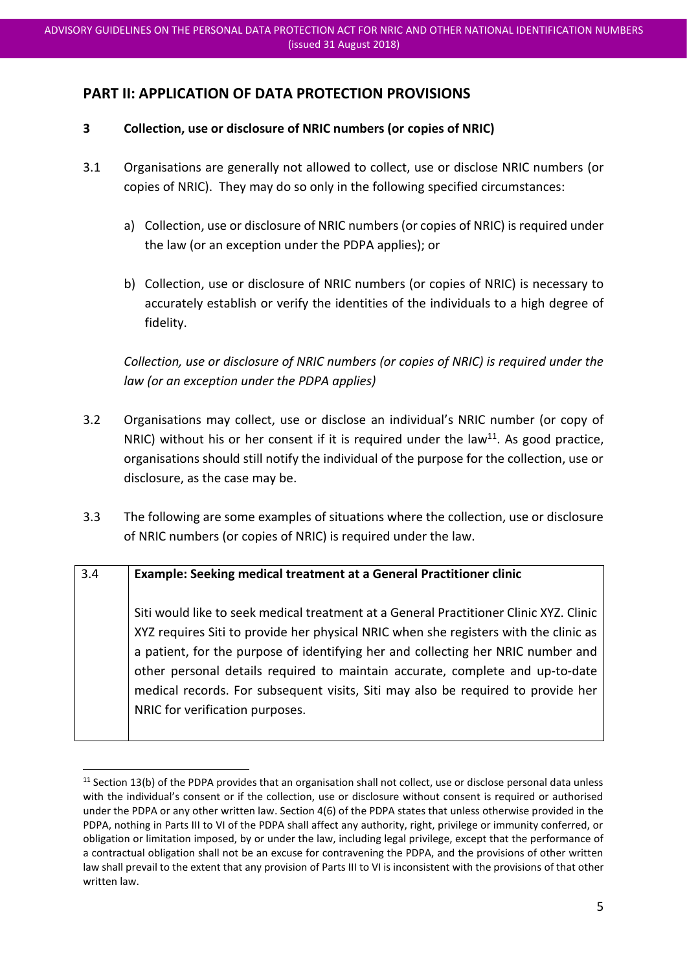# **PART II: APPLICATION OF DATA PROTECTION PROVISIONS**

#### <span id="page-5-0"></span>**3 Collection, use or disclosure of NRIC numbers (or copies of NRIC)**

- 3.1 Organisations are generally not allowed to collect, use or disclose NRIC numbers (or copies of NRIC). They may do so only in the following specified circumstances:
	- a) Collection, use or disclosure of NRIC numbers (or copies of NRIC) is required under the law (or an exception under the PDPA applies); or
	- b) Collection, use or disclosure of NRIC numbers (or copies of NRIC) is necessary to accurately establish or verify the identities of the individuals to a high degree of fidelity.

*Collection, use or disclosure of NRIC numbers (or copies of NRIC) is required under the law (or an exception under the PDPA applies)*

- 3.2 Organisations may collect, use or disclose an individual's NRIC number (or copy of NRIC) without his or her consent if it is required under the law<sup>11</sup>. As good practice, organisations should still notify the individual of the purpose for the collection, use or disclosure, as the case may be.
- 3.3 The following are some examples of situations where the collection, use or disclosure of NRIC numbers (or copies of NRIC) is required under the law.

### 3.4 **Example: Seeking medical treatment at a General Practitioner clinic**

1

Siti would like to seek medical treatment at a General Practitioner Clinic XYZ. Clinic XYZ requires Siti to provide her physical NRIC when she registers with the clinic as a patient, for the purpose of identifying her and collecting her NRIC number and other personal details required to maintain accurate, complete and up-to-date medical records. For subsequent visits, Siti may also be required to provide her NRIC for verification purposes.

 $11$  Section 13(b) of the PDPA provides that an organisation shall not collect, use or disclose personal data unless with the individual's consent or if the collection, use or disclosure without consent is required or authorised under the PDPA or any other written law. Section 4(6) of the PDPA states that unless otherwise provided in the PDPA, nothing in Parts III to VI of the PDPA shall affect any authority, right, privilege or immunity conferred, or obligation or limitation imposed, by or under the law, including legal privilege, except that the performance of a contractual obligation shall not be an excuse for contravening the PDPA, and the provisions of other written law shall prevail to the extent that any provision of Parts III to VI is inconsistent with the provisions of that other written law.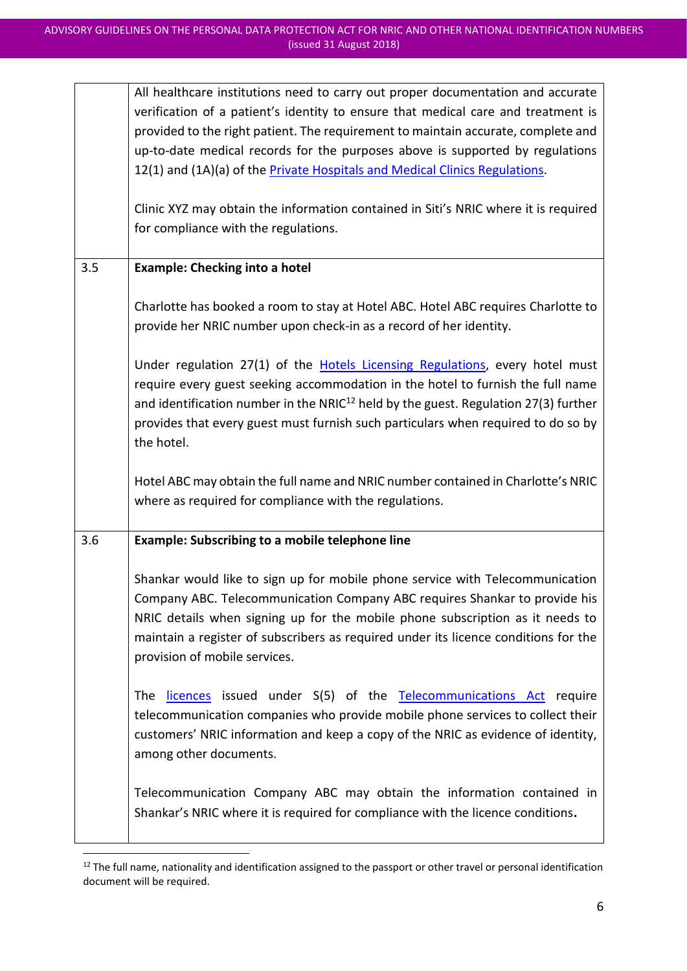|     | All healthcare institutions need to carry out proper documentation and accurate                 |
|-----|-------------------------------------------------------------------------------------------------|
|     | verification of a patient's identity to ensure that medical care and treatment is               |
|     | provided to the right patient. The requirement to maintain accurate, complete and               |
|     | up-to-date medical records for the purposes above is supported by regulations                   |
|     | 12(1) and (1A)(a) of the <b>Private Hospitals and Medical Clinics Regulations</b> .             |
|     |                                                                                                 |
|     | Clinic XYZ may obtain the information contained in Siti's NRIC where it is required             |
|     | for compliance with the regulations.                                                            |
|     |                                                                                                 |
| 3.5 | <b>Example: Checking into a hotel</b>                                                           |
|     |                                                                                                 |
|     |                                                                                                 |
|     | Charlotte has booked a room to stay at Hotel ABC. Hotel ABC requires Charlotte to               |
|     | provide her NRIC number upon check-in as a record of her identity.                              |
|     |                                                                                                 |
|     | Under regulation 27(1) of the Hotels Licensing Regulations, every hotel must                    |
|     | require every guest seeking accommodation in the hotel to furnish the full name                 |
|     | and identification number in the NRIC <sup>12</sup> held by the guest. Regulation 27(3) further |
|     | provides that every guest must furnish such particulars when required to do so by               |
|     | the hotel.                                                                                      |
|     |                                                                                                 |
|     | Hotel ABC may obtain the full name and NRIC number contained in Charlotte's NRIC                |
|     | where as required for compliance with the regulations.                                          |
|     |                                                                                                 |
| 3.6 | <b>Example: Subscribing to a mobile telephone line</b>                                          |
|     |                                                                                                 |
|     | Shankar would like to sign up for mobile phone service with Telecommunication                   |
|     | Company ABC. Telecommunication Company ABC requires Shankar to provide his                      |
|     | NRIC details when signing up for the mobile phone subscription as it needs to                   |
|     | maintain a register of subscribers as required under its licence conditions for the             |
|     |                                                                                                 |
|     | provision of mobile services.                                                                   |
|     |                                                                                                 |
|     | licences issued under S(5) of the Telecommunications Act require<br>The                         |
|     | telecommunication companies who provide mobile phone services to collect their                  |
|     | customers' NRIC information and keep a copy of the NRIC as evidence of identity,                |
|     | among other documents.                                                                          |
|     |                                                                                                 |
|     | Telecommunication Company ABC may obtain the information contained in                           |
|     | Shankar's NRIC where it is required for compliance with the licence conditions.                 |
|     |                                                                                                 |

<sup>&</sup>lt;sup>12</sup> The full name, nationality and identification assigned to the passport or other travel or personal identification document will be required.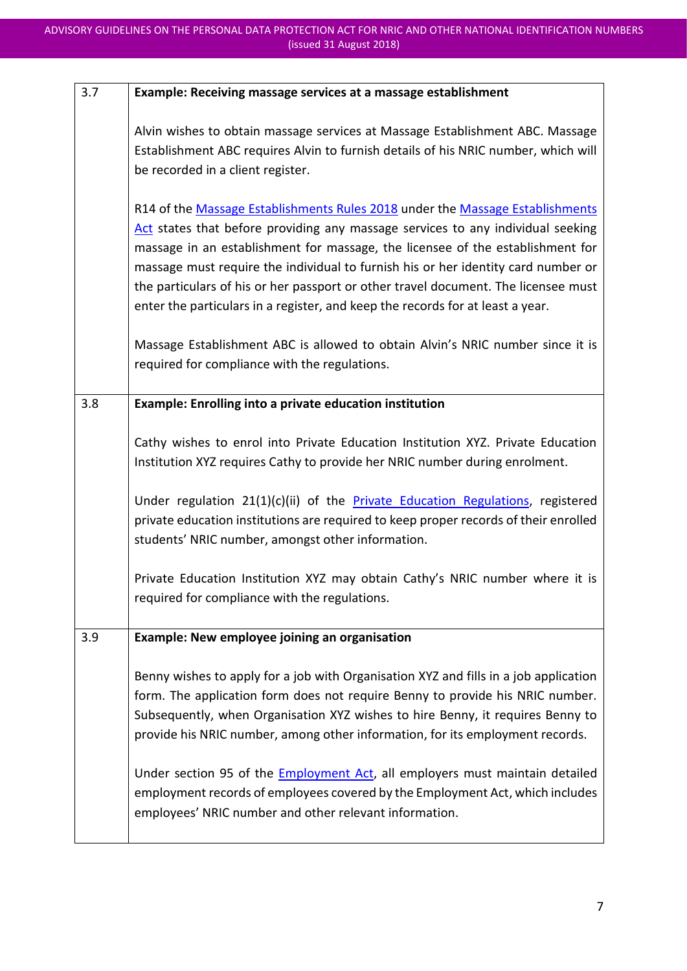| 3.7 | Example: Receiving massage services at a massage establishment                                                                                                                                                                                                                                                                                                                                                                                                                                                  |
|-----|-----------------------------------------------------------------------------------------------------------------------------------------------------------------------------------------------------------------------------------------------------------------------------------------------------------------------------------------------------------------------------------------------------------------------------------------------------------------------------------------------------------------|
|     | Alvin wishes to obtain massage services at Massage Establishment ABC. Massage<br>Establishment ABC requires Alvin to furnish details of his NRIC number, which will<br>be recorded in a client register.                                                                                                                                                                                                                                                                                                        |
|     | R14 of the Massage Establishments Rules 2018 under the Massage Establishments<br>Act states that before providing any massage services to any individual seeking<br>massage in an establishment for massage, the licensee of the establishment for<br>massage must require the individual to furnish his or her identity card number or<br>the particulars of his or her passport or other travel document. The licensee must<br>enter the particulars in a register, and keep the records for at least a year. |
|     | Massage Establishment ABC is allowed to obtain Alvin's NRIC number since it is<br>required for compliance with the regulations.                                                                                                                                                                                                                                                                                                                                                                                 |
| 3.8 | Example: Enrolling into a private education institution                                                                                                                                                                                                                                                                                                                                                                                                                                                         |
|     | Cathy wishes to enrol into Private Education Institution XYZ. Private Education<br>Institution XYZ requires Cathy to provide her NRIC number during enrolment.                                                                                                                                                                                                                                                                                                                                                  |
|     | Under regulation 21(1)(c)(ii) of the <b>Private Education Regulations</b> , registered<br>private education institutions are required to keep proper records of their enrolled<br>students' NRIC number, amongst other information.                                                                                                                                                                                                                                                                             |
|     | Private Education Institution XYZ may obtain Cathy's NRIC number where it is<br>required for compliance with the regulations.                                                                                                                                                                                                                                                                                                                                                                                   |
| 3.9 | Example: New employee joining an organisation                                                                                                                                                                                                                                                                                                                                                                                                                                                                   |
|     | Benny wishes to apply for a job with Organisation XYZ and fills in a job application<br>form. The application form does not require Benny to provide his NRIC number.<br>Subsequently, when Organisation XYZ wishes to hire Benny, it requires Benny to<br>provide his NRIC number, among other information, for its employment records.                                                                                                                                                                        |
|     | Under section 95 of the <b>Employment Act</b> , all employers must maintain detailed<br>employment records of employees covered by the Employment Act, which includes<br>employees' NRIC number and other relevant information.                                                                                                                                                                                                                                                                                 |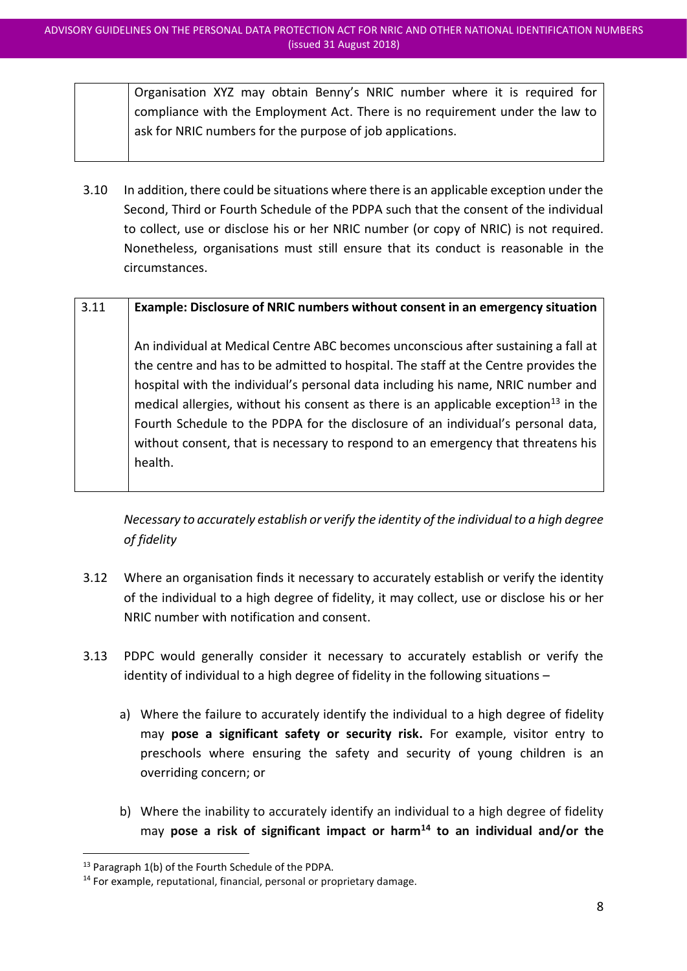Organisation XYZ may obtain Benny's NRIC number where it is required for compliance with the Employment Act. There is no requirement under the law to ask for NRIC numbers for the purpose of job applications.

3.10 In addition, there could be situations where there is an applicable exception under the Second, Third or Fourth Schedule of the PDPA such that the consent of the individual to collect, use or disclose his or her NRIC number (or copy of NRIC) is not required. Nonetheless, organisations must still ensure that its conduct is reasonable in the circumstances.

| 3.11 | Example: Disclosure of NRIC numbers without consent in an emergency situation                                                                                                                                                                                                                                                                                                                                                                                                                                                            |
|------|------------------------------------------------------------------------------------------------------------------------------------------------------------------------------------------------------------------------------------------------------------------------------------------------------------------------------------------------------------------------------------------------------------------------------------------------------------------------------------------------------------------------------------------|
|      | An individual at Medical Centre ABC becomes unconscious after sustaining a fall at<br>the centre and has to be admitted to hospital. The staff at the Centre provides the<br>hospital with the individual's personal data including his name, NRIC number and<br>medical allergies, without his consent as there is an applicable exception <sup>13</sup> in the<br>Fourth Schedule to the PDPA for the disclosure of an individual's personal data,<br>without consent, that is necessary to respond to an emergency that threatens his |
|      | health.                                                                                                                                                                                                                                                                                                                                                                                                                                                                                                                                  |

*Necessary to accurately establish or verify the identity of the individual to a high degree of fidelity*

- 3.12 Where an organisation finds it necessary to accurately establish or verify the identity of the individual to a high degree of fidelity, it may collect, use or disclose his or her NRIC number with notification and consent.
- 3.13 PDPC would generally consider it necessary to accurately establish or verify the identity of individual to a high degree of fidelity in the following situations –
	- a) Where the failure to accurately identify the individual to a high degree of fidelity may **pose a significant safety or security risk.** For example, visitor entry to preschools where ensuring the safety and security of young children is an overriding concern; or
	- b) Where the inability to accurately identify an individual to a high degree of fidelity may **pose a risk of significant impact or harm<sup>14</sup> to an individual and/or the**

<sup>13</sup> Paragraph 1(b) of the Fourth Schedule of the PDPA.

<sup>&</sup>lt;sup>14</sup> For example, reputational, financial, personal or proprietary damage.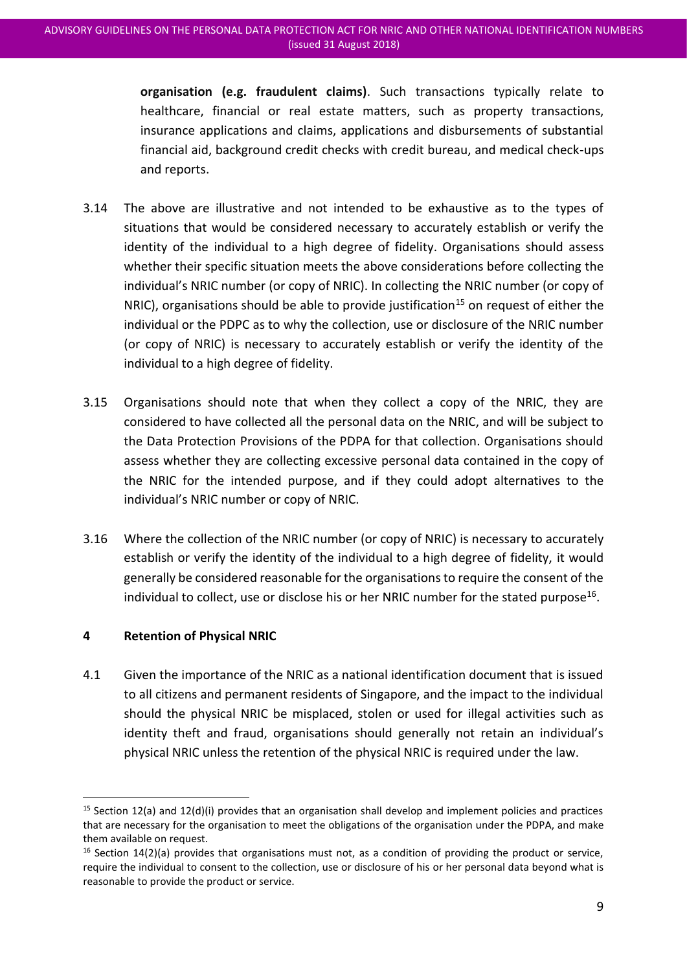**organisation (e.g. fraudulent claims)**. Such transactions typically relate to healthcare, financial or real estate matters, such as property transactions, insurance applications and claims, applications and disbursements of substantial financial aid, background credit checks with credit bureau, and medical check-ups and reports.

- 3.14 The above are illustrative and not intended to be exhaustive as to the types of situations that would be considered necessary to accurately establish or verify the identity of the individual to a high degree of fidelity. Organisations should assess whether their specific situation meets the above considerations before collecting the individual's NRIC number (or copy of NRIC). In collecting the NRIC number (or copy of NRIC), organisations should be able to provide justification<sup>15</sup> on request of either the individual or the PDPC as to why the collection, use or disclosure of the NRIC number (or copy of NRIC) is necessary to accurately establish or verify the identity of the individual to a high degree of fidelity.
- 3.15 Organisations should note that when they collect a copy of the NRIC, they are considered to have collected all the personal data on the NRIC, and will be subject to the Data Protection Provisions of the PDPA for that collection. Organisations should assess whether they are collecting excessive personal data contained in the copy of the NRIC for the intended purpose, and if they could adopt alternatives to the individual's NRIC number or copy of NRIC.
- 3.16 Where the collection of the NRIC number (or copy of NRIC) is necessary to accurately establish or verify the identity of the individual to a high degree of fidelity, it would generally be considered reasonable for the organisations to require the consent of the individual to collect, use or disclose his or her NRIC number for the stated purpose<sup>16</sup>.

#### <span id="page-9-0"></span>**4 Retention of Physical NRIC**

**.** 

4.1 Given the importance of the NRIC as a national identification document that is issued to all citizens and permanent residents of Singapore, and the impact to the individual should the physical NRIC be misplaced, stolen or used for illegal activities such as identity theft and fraud, organisations should generally not retain an individual's physical NRIC unless the retention of the physical NRIC is required under the law.

<sup>&</sup>lt;sup>15</sup> Section 12(a) and 12(d)(i) provides that an organisation shall develop and implement policies and practices that are necessary for the organisation to meet the obligations of the organisation under the PDPA, and make them available on request.

 $16$  Section 14(2)(a) provides that organisations must not, as a condition of providing the product or service, require the individual to consent to the collection, use or disclosure of his or her personal data beyond what is reasonable to provide the product or service.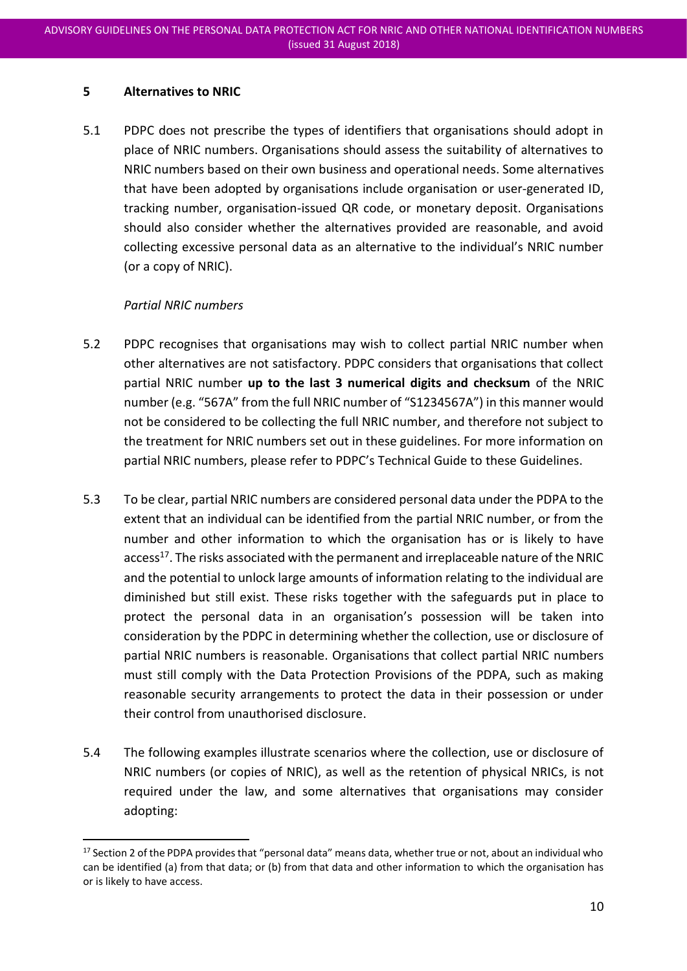#### <span id="page-10-0"></span>**5 Alternatives to NRIC**

5.1 PDPC does not prescribe the types of identifiers that organisations should adopt in place of NRIC numbers. Organisations should assess the suitability of alternatives to NRIC numbers based on their own business and operational needs. Some alternatives that have been adopted by organisations include organisation or user-generated ID, tracking number, organisation-issued QR code, or monetary deposit. Organisations should also consider whether the alternatives provided are reasonable, and avoid collecting excessive personal data as an alternative to the individual's NRIC number (or a copy of NRIC).

#### *Partial NRIC numbers*

**.** 

- 5.2 PDPC recognises that organisations may wish to collect partial NRIC number when other alternatives are not satisfactory. PDPC considers that organisations that collect partial NRIC number **up to the last 3 numerical digits and checksum** of the NRIC number (e.g. "567A" from the full NRIC number of "S1234567A") in this manner would not be considered to be collecting the full NRIC number, and therefore not subject to the treatment for NRIC numbers set out in these guidelines. For more information on partial NRIC numbers, please refer to PDPC's Technical Guide to these Guidelines.
- 5.3 To be clear, partial NRIC numbers are considered personal data under the PDPA to the extent that an individual can be identified from the partial NRIC number, or from the number and other information to which the organisation has or is likely to have access<sup>17</sup>. The risks associated with the permanent and irreplaceable nature of the NRIC and the potential to unlock large amounts of information relating to the individual are diminished but still exist. These risks together with the safeguards put in place to protect the personal data in an organisation's possession will be taken into consideration by the PDPC in determining whether the collection, use or disclosure of partial NRIC numbers is reasonable. Organisations that collect partial NRIC numbers must still comply with the Data Protection Provisions of the PDPA, such as making reasonable security arrangements to protect the data in their possession or under their control from unauthorised disclosure.
- 5.4 The following examples illustrate scenarios where the collection, use or disclosure of NRIC numbers (or copies of NRIC), as well as the retention of physical NRICs, is not required under the law, and some alternatives that organisations may consider adopting:

<sup>&</sup>lt;sup>17</sup> Section 2 of the PDPA provides that "personal data" means data, whether true or not, about an individual who can be identified (a) from that data; or (b) from that data and other information to which the organisation has or is likely to have access.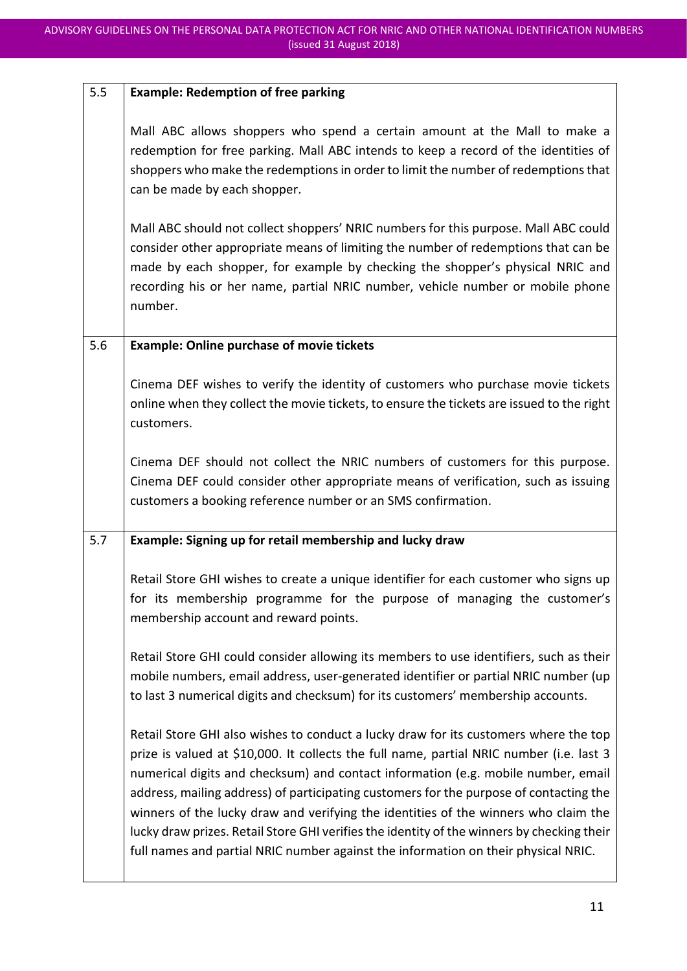| 5.5 | <b>Example: Redemption of free parking</b>                                                                                                                                                                                                                                                                                                                                                                                                                                                                                                                                                                                                 |
|-----|--------------------------------------------------------------------------------------------------------------------------------------------------------------------------------------------------------------------------------------------------------------------------------------------------------------------------------------------------------------------------------------------------------------------------------------------------------------------------------------------------------------------------------------------------------------------------------------------------------------------------------------------|
|     | Mall ABC allows shoppers who spend a certain amount at the Mall to make a<br>redemption for free parking. Mall ABC intends to keep a record of the identities of<br>shoppers who make the redemptions in order to limit the number of redemptions that<br>can be made by each shopper.                                                                                                                                                                                                                                                                                                                                                     |
|     | Mall ABC should not collect shoppers' NRIC numbers for this purpose. Mall ABC could<br>consider other appropriate means of limiting the number of redemptions that can be<br>made by each shopper, for example by checking the shopper's physical NRIC and<br>recording his or her name, partial NRIC number, vehicle number or mobile phone<br>number.                                                                                                                                                                                                                                                                                    |
| 5.6 | <b>Example: Online purchase of movie tickets</b>                                                                                                                                                                                                                                                                                                                                                                                                                                                                                                                                                                                           |
|     | Cinema DEF wishes to verify the identity of customers who purchase movie tickets<br>online when they collect the movie tickets, to ensure the tickets are issued to the right<br>customers.                                                                                                                                                                                                                                                                                                                                                                                                                                                |
|     | Cinema DEF should not collect the NRIC numbers of customers for this purpose.<br>Cinema DEF could consider other appropriate means of verification, such as issuing<br>customers a booking reference number or an SMS confirmation.                                                                                                                                                                                                                                                                                                                                                                                                        |
| 5.7 | Example: Signing up for retail membership and lucky draw                                                                                                                                                                                                                                                                                                                                                                                                                                                                                                                                                                                   |
|     | Retail Store GHI wishes to create a unique identifier for each customer who signs up<br>for its membership programme for the purpose of managing the customer's<br>membership account and reward points.                                                                                                                                                                                                                                                                                                                                                                                                                                   |
|     | Retail Store GHI could consider allowing its members to use identifiers, such as their<br>mobile numbers, email address, user-generated identifier or partial NRIC number (up<br>to last 3 numerical digits and checksum) for its customers' membership accounts.                                                                                                                                                                                                                                                                                                                                                                          |
|     | Retail Store GHI also wishes to conduct a lucky draw for its customers where the top<br>prize is valued at \$10,000. It collects the full name, partial NRIC number (i.e. last 3<br>numerical digits and checksum) and contact information (e.g. mobile number, email<br>address, mailing address) of participating customers for the purpose of contacting the<br>winners of the lucky draw and verifying the identities of the winners who claim the<br>lucky draw prizes. Retail Store GHI verifies the identity of the winners by checking their<br>full names and partial NRIC number against the information on their physical NRIC. |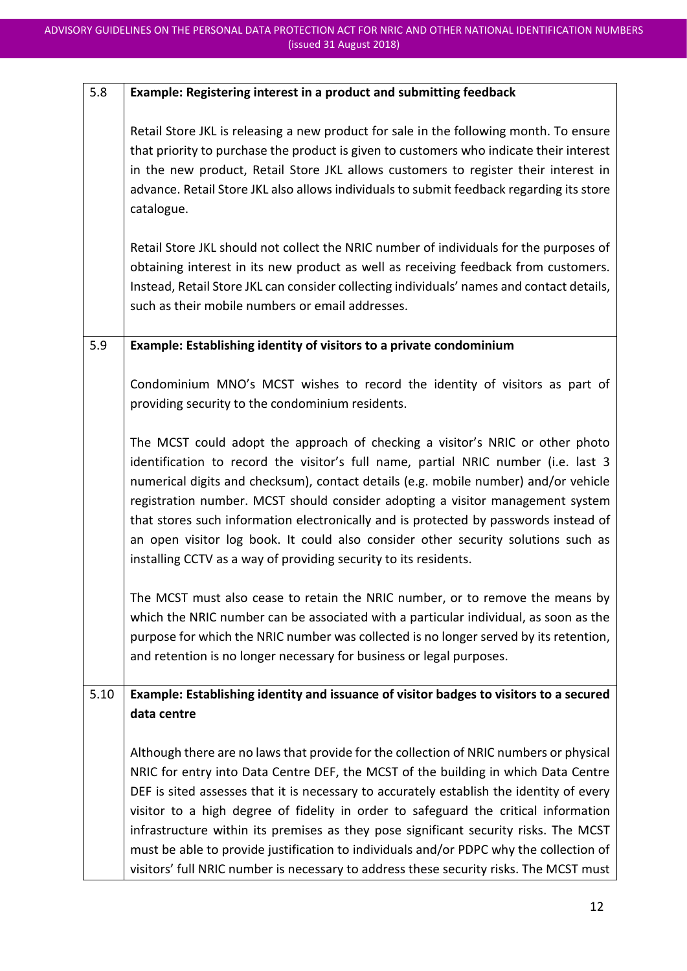| 5.8  | Example: Registering interest in a product and submitting feedback                                                                                                                                                                                                                                                                                                                                                                                                                                                                                                                            |
|------|-----------------------------------------------------------------------------------------------------------------------------------------------------------------------------------------------------------------------------------------------------------------------------------------------------------------------------------------------------------------------------------------------------------------------------------------------------------------------------------------------------------------------------------------------------------------------------------------------|
|      | Retail Store JKL is releasing a new product for sale in the following month. To ensure<br>that priority to purchase the product is given to customers who indicate their interest<br>in the new product, Retail Store JKL allows customers to register their interest in<br>advance. Retail Store JKL also allows individuals to submit feedback regarding its store<br>catalogue.                                                                                                                                                                                                            |
|      | Retail Store JKL should not collect the NRIC number of individuals for the purposes of<br>obtaining interest in its new product as well as receiving feedback from customers.<br>Instead, Retail Store JKL can consider collecting individuals' names and contact details,<br>such as their mobile numbers or email addresses.                                                                                                                                                                                                                                                                |
| 5.9  | Example: Establishing identity of visitors to a private condominium                                                                                                                                                                                                                                                                                                                                                                                                                                                                                                                           |
|      | Condominium MNO's MCST wishes to record the identity of visitors as part of<br>providing security to the condominium residents.                                                                                                                                                                                                                                                                                                                                                                                                                                                               |
|      | The MCST could adopt the approach of checking a visitor's NRIC or other photo<br>identification to record the visitor's full name, partial NRIC number (i.e. last 3<br>numerical digits and checksum), contact details (e.g. mobile number) and/or vehicle<br>registration number. MCST should consider adopting a visitor management system<br>that stores such information electronically and is protected by passwords instead of<br>an open visitor log book. It could also consider other security solutions such as<br>installing CCTV as a way of providing security to its residents. |
|      | The MCST must also cease to retain the NRIC number, or to remove the means by<br>which the NRIC number can be associated with a particular individual, as soon as the<br>purpose for which the NRIC number was collected is no longer served by its retention,<br>and retention is no longer necessary for business or legal purposes.                                                                                                                                                                                                                                                        |
| 5.10 | Example: Establishing identity and issuance of visitor badges to visitors to a secured<br>data centre                                                                                                                                                                                                                                                                                                                                                                                                                                                                                         |
|      |                                                                                                                                                                                                                                                                                                                                                                                                                                                                                                                                                                                               |
|      | Although there are no laws that provide for the collection of NRIC numbers or physical<br>NRIC for entry into Data Centre DEF, the MCST of the building in which Data Centre<br>DEF is sited assesses that it is necessary to accurately establish the identity of every<br>visitor to a high degree of fidelity in order to safeguard the critical information<br>infrastructure within its premises as they pose significant security risks. The MCST<br>must be able to provide justification to individuals and/or PDPC why the collection of                                             |
|      | visitors' full NRIC number is necessary to address these security risks. The MCST must                                                                                                                                                                                                                                                                                                                                                                                                                                                                                                        |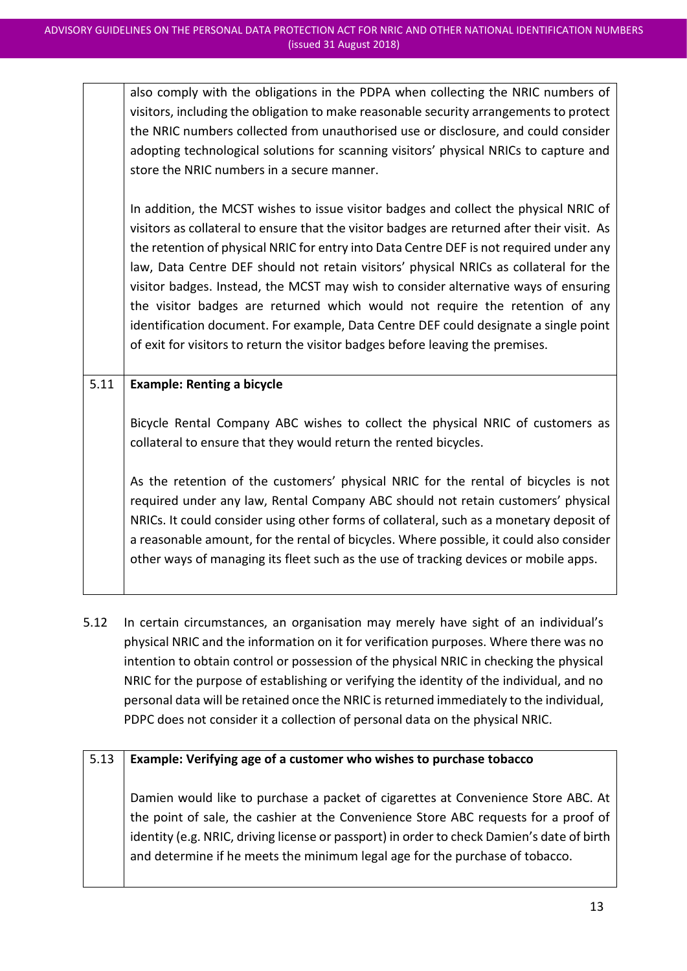also comply with the obligations in the PDPA when collecting the NRIC numbers of visitors, including the obligation to make reasonable security arrangements to protect the NRIC numbers collected from unauthorised use or disclosure, and could consider adopting technological solutions for scanning visitors' physical NRICs to capture and store the NRIC numbers in a secure manner.

In addition, the MCST wishes to issue visitor badges and collect the physical NRIC of visitors as collateral to ensure that the visitor badges are returned after their visit. As the retention of physical NRIC for entry into Data Centre DEF is not required under any law, Data Centre DEF should not retain visitors' physical NRICs as collateral for the visitor badges. Instead, the MCST may wish to consider alternative ways of ensuring the visitor badges are returned which would not require the retention of any identification document. For example, Data Centre DEF could designate a single point of exit for visitors to return the visitor badges before leaving the premises.

## 5.11 **Example: Renting a bicycle**

Bicycle Rental Company ABC wishes to collect the physical NRIC of customers as collateral to ensure that they would return the rented bicycles.

As the retention of the customers' physical NRIC for the rental of bicycles is not required under any law, Rental Company ABC should not retain customers' physical NRICs. It could consider using other forms of collateral, such as a monetary deposit of a reasonable amount, for the rental of bicycles. Where possible, it could also consider other ways of managing its fleet such as the use of tracking devices or mobile apps.

5.12 In certain circumstances, an organisation may merely have sight of an individual's physical NRIC and the information on it for verification purposes. Where there was no intention to obtain control or possession of the physical NRIC in checking the physical NRIC for the purpose of establishing or verifying the identity of the individual, and no personal data will be retained once the NRIC is returned immediately to the individual, PDPC does not consider it a collection of personal data on the physical NRIC.

# 5.13 **Example: Verifying age of a customer who wishes to purchase tobacco** Damien would like to purchase a packet of cigarettes at Convenience Store ABC. At the point of sale, the cashier at the Convenience Store ABC requests for a proof of identity (e.g. NRIC, driving license or passport) in order to check Damien's date of birth and determine if he meets the minimum legal age for the purchase of tobacco.